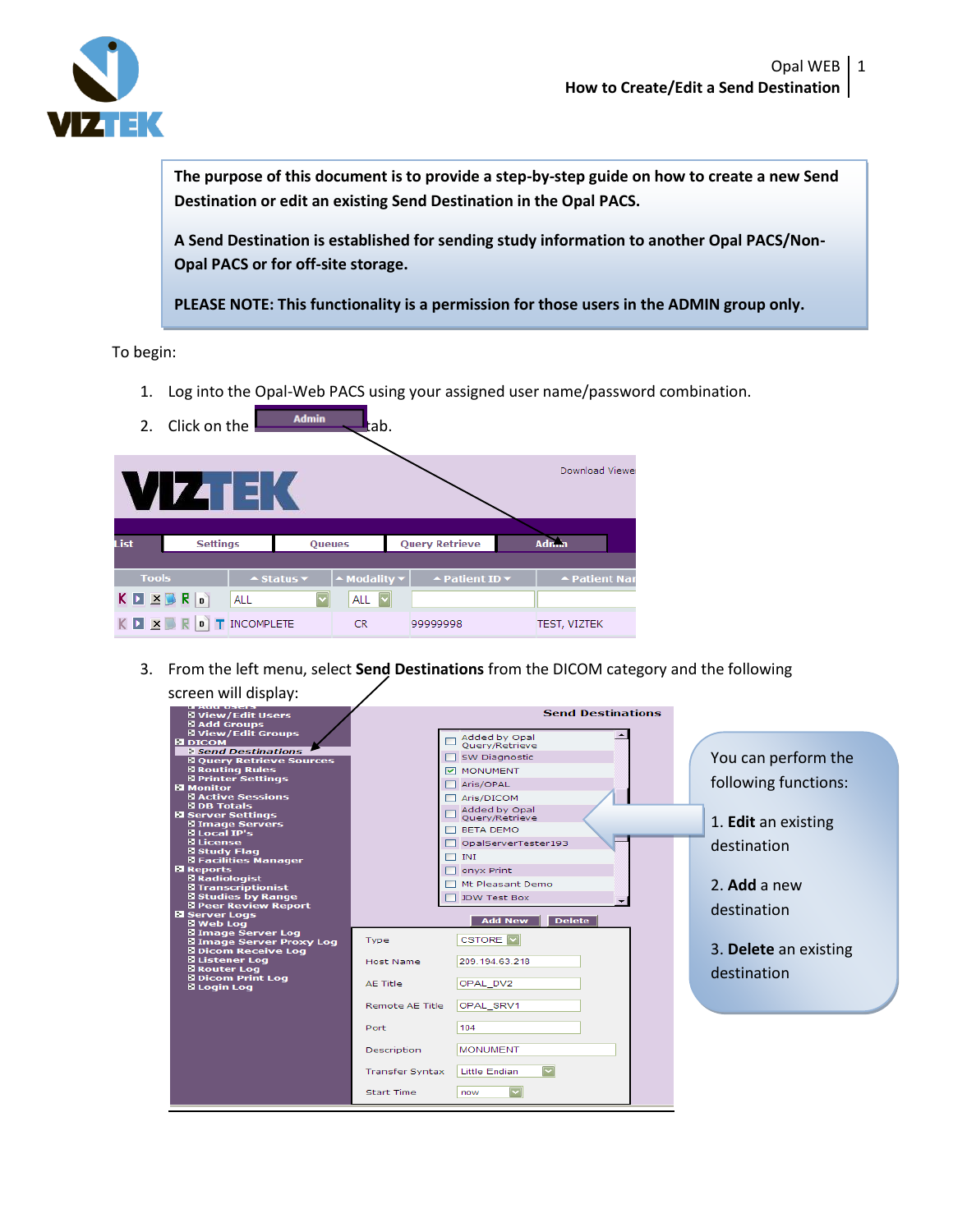

**The purpose of this document is to provide a step-by-step guide on how to create a new Send Destination or edit an existing Send Destination in the Opal PACS.** 

**A Send Destination is established for sending study information to another Opal PACS/Non-Opal PACS or for off-site storage.**

**PLEASE NOTE: This functionality is a permission for those users in the ADMIN group only.** 

To begin:

1. Log into the Opal-Web PACS using your assigned user name/password combination.

|                                 | 2. Click on the        |            | <b>Admin</b>                            | tab.                                           |  |                                                  |  |                     |  |
|---------------------------------|------------------------|------------|-----------------------------------------|------------------------------------------------|--|--------------------------------------------------|--|---------------------|--|
| Download Viewer<br>VIZTEK       |                        |            |                                         |                                                |  |                                                  |  |                     |  |
| List                            | <b>Settings</b>        |            | <b>Oueues</b>                           |                                                |  | <b>Query Retrieve</b>                            |  | <b>Admin</b>        |  |
| <b>Tools</b>                    |                        |            | $\triangle$ Status $\blacktriangledown$ | $\blacktriangle$ Modality $\blacktriangledown$ |  | $\blacktriangle$ Patient ID $\blacktriangledown$ |  | ▲ Patient Nar       |  |
|                                 | $K \Box \times \Box R$ | <b>ALL</b> |                                         | ALL $ $ $\vee$                                 |  |                                                  |  |                     |  |
| K <b>D X B R D T</b> INCOMPLETE |                        |            |                                         | <b>CR</b>                                      |  | 9999998                                          |  | <b>TEST, VIZTEK</b> |  |

3. From the left menu, select **Send Destinations** from the DICOM category and the following screen will display:

| <b>LEADING USE IS</b><br><b>N</b> View/Edit Users     |                        | <b>Send Destinations</b>                        |                            |
|-------------------------------------------------------|------------------------|-------------------------------------------------|----------------------------|
| <b>El Add Groups</b><br><b>N</b> View/Edit Groups     |                        | Added by Opal                                   |                            |
| <b>Е DICOM</b><br>Send Destinations                   |                        | Ouerv/Retrieve                                  |                            |
| <b>El Query Retrieve Sources</b>                      |                        | <b>SW Diagnostic</b>                            | You can perform the        |
| <b>El Routing Rules</b>                               |                        | <b>V MONUMENT</b>                               |                            |
| <b>El Printer Settings</b>                            |                        | Aris/OPAL                                       | following functions:       |
| <b>El Monitor</b><br><b>El Active Sessions</b>        |                        |                                                 |                            |
| <b>N</b> DB Totals                                    |                        | $\Box$ Aris/DICOM                               |                            |
| <b>El Server Settings</b>                             |                        | Added by Opal<br>Query/Retrieve                 |                            |
| <b>El Image Servers</b>                               |                        | <b>BETA DEMO</b>                                | 1. <b>Edit</b> an existing |
| <b>El Local IP's</b>                                  |                        |                                                 |                            |
| <b>N</b> License                                      |                        | OpalServerTester193                             | destination                |
| <b>El Study Flag</b><br><b>N</b> Facilities Manager   |                        | $\Box$ INI                                      |                            |
| <b>El Reports</b>                                     |                        | $\Box$ on vx Print                              |                            |
| <b>El Radiologist</b>                                 |                        |                                                 |                            |
| <b>El Transcriptionist</b>                            |                        | Mt Pleasant Demo                                | 2. Add a new               |
| <b>El Studies by Range</b>                            |                        | JDW Test Box                                    |                            |
| <b>El Peer Review Report</b><br><b>El Server Logs</b> |                        |                                                 | destination                |
| <b>N</b> Web Log                                      |                        | <b>Delete</b><br><b>Add New</b>                 |                            |
| <b>El Image Server Log</b>                            |                        |                                                 |                            |
| <b>El Image Server Proxy Log</b>                      | Type                   | <b>CSTORE</b>                                   |                            |
| <b>El Dicom Receive Log</b>                           |                        |                                                 | 3. Delete an existing      |
| <b>B</b> Listener Log<br><b>El Router Log</b>         | <b>Host Name</b>       | 209.194.63.218                                  |                            |
| <b>El Dicom Print Log</b>                             |                        |                                                 | destination                |
| <b>El Login Log</b>                                   | AE Title               | OPAL DV2                                        |                            |
|                                                       |                        |                                                 |                            |
|                                                       | Remote AE Title        | OPAL SRV1                                       |                            |
|                                                       | Port                   | 104                                             |                            |
|                                                       | <b>Description</b>     | <b>MONUMENT</b>                                 |                            |
|                                                       | <b>Transfer Syntax</b> | $\overline{\mathbf{v}}$<br><b>Little Endian</b> |                            |
|                                                       | <b>Start Time</b>      | now                                             |                            |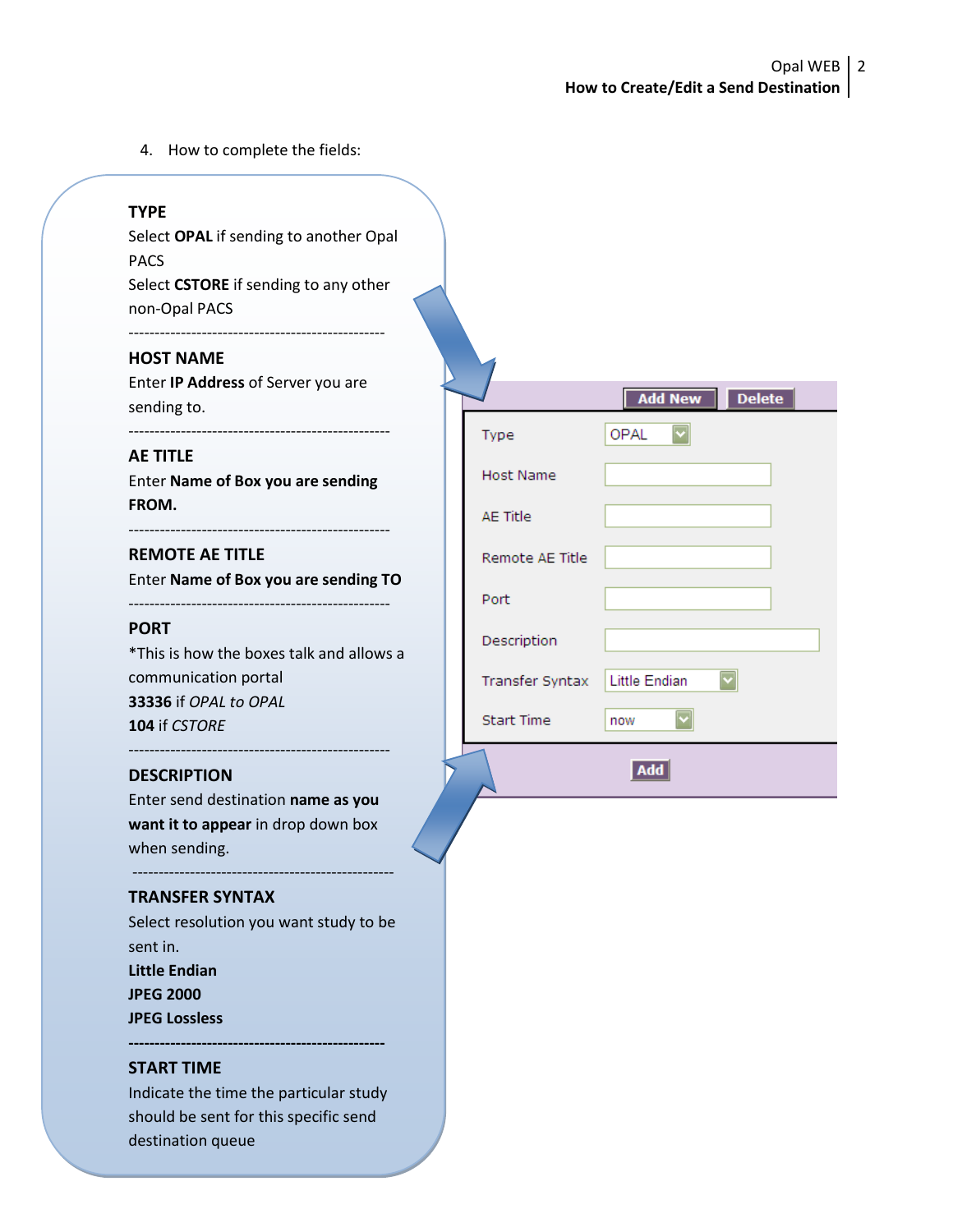4. How to complete the fields:

# **TYPE**

Select **OPAL** if sending to another Opal PACS Select **CSTORE** if sending to any other non-Opal PACS

-------------------------------------------------

## **HOST NAME**

Enter **IP Address** of Server you are sending to.

--------------------------------------------------

### **AE TITLE**

Enter **Name of Box you are sending FROM.**

**REMOTE AE TITLE**

Enter **Name of Box you are sending TO**

--------------------------------------------------

#### **PORT**

\*This is how the boxes talk and allows a communication portal **33336** if *OPAL to OPAL* **104** if *CSTORE*

#### **DESCRIPTION**

--------------------------------------------------

Enter send destination **name as you want it to appear** in drop down box when sending.

--------------------------------------------------

# **TRANSFER SYNTAX**

Select resolution you want study to be sent in. **Little Endian JPEG 2000 JPEG Lossless**

### **START TIME**

Indicate the time the particular study should be sent for this specific send destination queue

|                   | Add New<br><b>Delete</b> |
|-------------------|--------------------------|
| Type              | OPAL                     |
| <b>Host Name</b>  |                          |
| <b>AE Title</b>   |                          |
| Remote AE Title   |                          |
| Port              |                          |
| Description       |                          |
| Transfer Syntax   | <b>Little Endian</b>     |
| <b>Start Time</b> | now                      |
|                   | Add                      |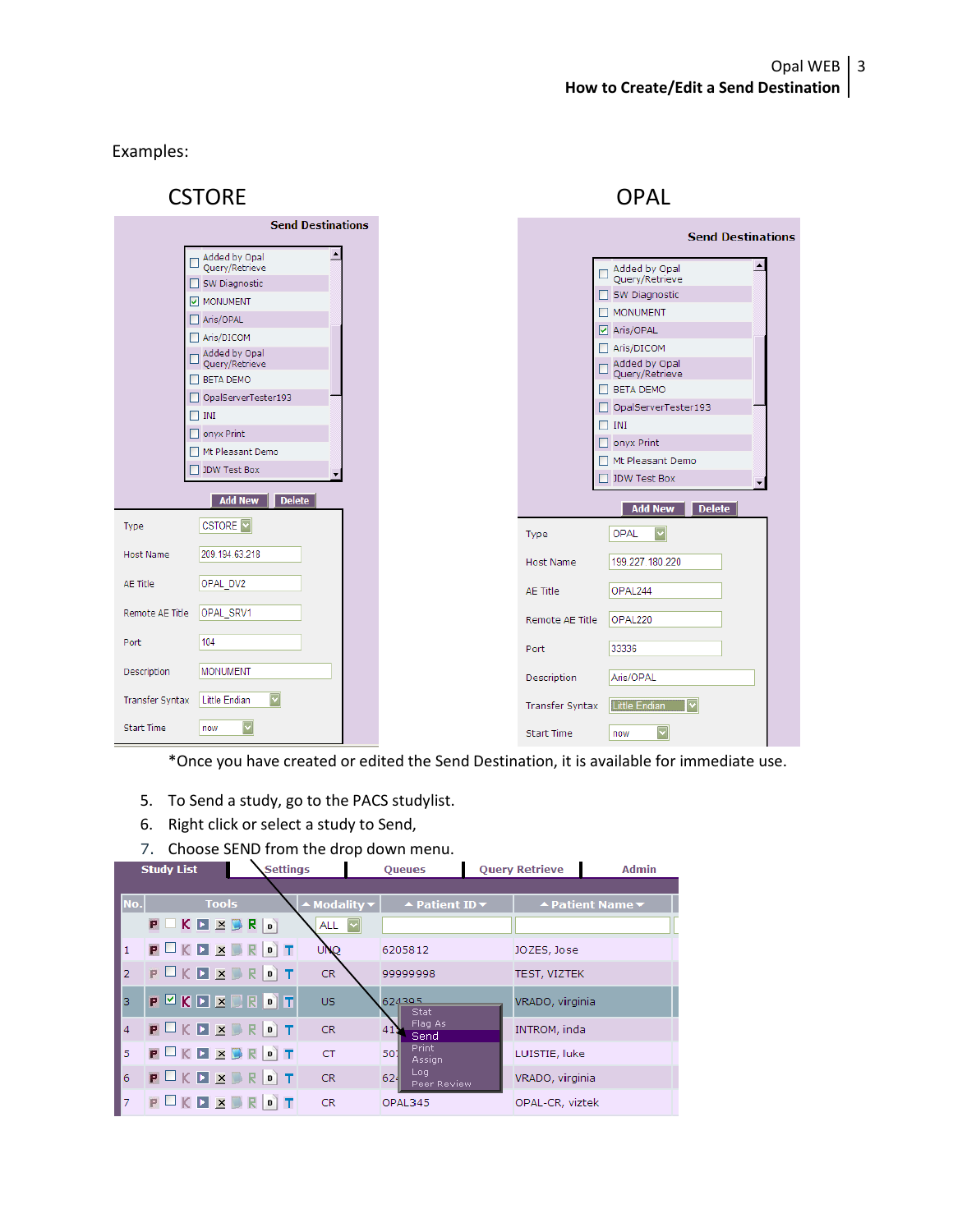Examples:

| <b>CSTORE</b>                                                   |                        | <b>OPAL</b>                               |  |  |  |
|-----------------------------------------------------------------|------------------------|-------------------------------------------|--|--|--|
| <b>Send Destinations</b>                                        |                        | <b>Send Destinations</b>                  |  |  |  |
| Added by Opal<br>Query/Retrieve<br>$\Box$                       |                        |                                           |  |  |  |
| SW Diagnostic                                                   |                        | Added by Opal<br>Query/Retrieve<br>$\Box$ |  |  |  |
| MONUMENT                                                        |                        | SW Diagnostic                             |  |  |  |
| Aris/OPAL                                                       |                        | $\Box$ MONUMENT                           |  |  |  |
| Aris/DICOM                                                      |                        | ☑ Aris/OPAL                               |  |  |  |
| Added by Opal<br>Query/Retrieve                                 |                        | Aris/DICOM<br>Added by Opal               |  |  |  |
| <b>BETA DEMO</b>                                                |                        | Query/Retrieve                            |  |  |  |
| □ OpalServerTester193                                           |                        | $\Box$ BETA DEMO                          |  |  |  |
| $\Box$ INI                                                      |                        | □ OpalServerTester193                     |  |  |  |
| $\Box$ onyx Print                                               |                        | $\Box$ INI                                |  |  |  |
| Mt Pleasant Demo                                                |                        | $\Box$ onyx Print                         |  |  |  |
| DW Test Box                                                     |                        | Mt Pleasant Demo                          |  |  |  |
|                                                                 |                        | □ JDW Test Box                            |  |  |  |
| <b>Delete</b><br><b>Add New</b>                                 |                        | <b>Add New</b><br><b>Delete</b>           |  |  |  |
| <b>CSTORE</b><br>Type                                           | Type                   | OPAL                                      |  |  |  |
| 209.194.63.218<br><b>Host Name</b>                              | <b>Host Name</b>       | 199.227.180.220                           |  |  |  |
| OPAL DV2<br>AE Title                                            | AE Title               | OPAL244                                   |  |  |  |
| OPAL_SRV1<br>Remote AE Title                                    | Remote AE Title        | OPAL220                                   |  |  |  |
| 104<br>Port                                                     | Port                   | 33336                                     |  |  |  |
| <b>MONUMENT</b><br>Description                                  | Description            | Aris/OPAL                                 |  |  |  |
| $\blacktriangledown$<br>Transfer Syntax<br><b>Little Endian</b> | <b>Transfer Syntax</b> | <b>Little Endian</b>                      |  |  |  |
| <b>Start Time</b><br>now                                        | <b>Start Time</b>      | now                                       |  |  |  |

\*Once you have created or edited the Send Destination, it is available for immediate use.

- 5. To Send a study, go to the PACS studylist.
- 6. Right click or select a study to Send,
- 7. Choose SEND from the drop down menu.

| <b>Study List</b> |                      | <b>Settings</b> |                | <b>Queues</b>                                    |  | <b>Ouery Retrieve</b> | <b>Admin</b>     |  |
|-------------------|----------------------|-----------------|----------------|--------------------------------------------------|--|-----------------------|------------------|--|
|                   |                      |                 |                |                                                  |  |                       |                  |  |
| No.               | <b>Tools</b>         |                 | Modality       | $\blacktriangle$ Patient ID $\blacktriangledown$ |  |                       | ▲ Patient Name ▼ |  |
|                   | <b>P K D X B R D</b> |                 | ALL $ $ $\vee$ |                                                  |  |                       |                  |  |
| $\mathbf{1}$      | PUKDEROT             | UNQ             |                | 6205812                                          |  | JOZES, Jose           |                  |  |
| $\overline{2}$    |                      | CR.             |                | 99999998                                         |  | <b>TEST, VIZTEK</b>   |                  |  |
| з                 | PEKDECEOT            | <b>US</b>       |                | 624395<br><b>Stat</b>                            |  | VRADO, virginia       |                  |  |
| 4                 | <b>POKD SBROT</b>    | <b>CR</b>       |                | Flag As<br>Send                                  |  | INTROM, inda          |                  |  |
| 5                 | POKDEBROT            | CT              | 501            | Print.<br>Assign                                 |  | LUISTIE, luke         |                  |  |
| 6                 | <b>POKDXBROT</b>     | <b>CR</b>       | 624            | Log<br>Peer Review                               |  | VRADO, virginia       |                  |  |
| 7                 | POKD <b>X B R OT</b> | <b>CR</b>       |                | OPAL345                                          |  | OPAL-CR, viztek       |                  |  |